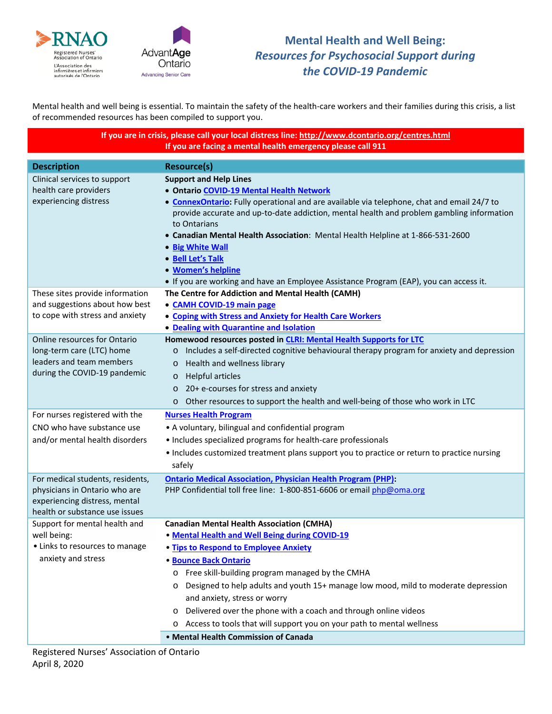



## **Mental Health and Well Being:**  *Resources for Psychosocial Support during the COVID-19 Pandemic*

Mental health and well being is essential. To maintain the safety of the health-care workers and their families during this crisis, a list of recommended resources has been compiled to support you.

> **If you are in crisis, please call your local distress line:<http://www.dcontario.org/centres.html> If you are facing a mental health emergency please call 911**

| <b>Description</b>                                                                                                                   | <b>Resource(s)</b>                                                                                                                                                                                                                                                                                                                                                                                                                                                                                                                                                                   |
|--------------------------------------------------------------------------------------------------------------------------------------|--------------------------------------------------------------------------------------------------------------------------------------------------------------------------------------------------------------------------------------------------------------------------------------------------------------------------------------------------------------------------------------------------------------------------------------------------------------------------------------------------------------------------------------------------------------------------------------|
|                                                                                                                                      |                                                                                                                                                                                                                                                                                                                                                                                                                                                                                                                                                                                      |
| Clinical services to support<br>health care providers<br>experiencing distress<br>These sites provide information                    | <b>Support and Help Lines</b><br>· Ontario COVID-19 Mental Health Network<br>• ConnexOntario: Fully operational and are available via telephone, chat and email 24/7 to<br>provide accurate and up-to-date addiction, mental health and problem gambling information<br>to Ontarians<br>• Canadian Mental Health Association: Mental Health Helpline at 1-866-531-2600<br>• Big White Wall<br>• Bell Let's Talk<br>• Women's helpline<br>• If you are working and have an Employee Assistance Program (EAP), you can access it.<br>The Centre for Addiction and Mental Health (CAMH) |
| and suggestions about how best<br>to cope with stress and anxiety                                                                    | • CAMH COVID-19 main page<br><b>. Coping with Stress and Anxiety for Health Care Workers</b><br>• Dealing with Quarantine and Isolation                                                                                                                                                                                                                                                                                                                                                                                                                                              |
| Online resources for Ontario<br>long-term care (LTC) home<br>leaders and team members<br>during the COVID-19 pandemic                | Homewood resources posted in CLRI: Mental Health Supports for LTC<br>Includes a self-directed cognitive behavioural therapy program for anxiety and depression<br>$\circ$<br>Health and wellness library<br>$\circ$<br><b>Helpful articles</b><br>$\circ$<br>20+ e-courses for stress and anxiety<br>$\circ$<br>Other resources to support the health and well-being of those who work in LTC<br>$\circ$                                                                                                                                                                             |
| For nurses registered with the<br>CNO who have substance use<br>and/or mental health disorders                                       | <b>Nurses Health Program</b><br>• A voluntary, bilingual and confidential program<br>• Includes specialized programs for health-care professionals<br>• Includes customized treatment plans support you to practice or return to practice nursing<br>safely                                                                                                                                                                                                                                                                                                                          |
| For medical students, residents,<br>physicians in Ontario who are<br>experiencing distress, mental<br>health or substance use issues | <b>Ontario Medical Association, Physician Health Program (PHP):</b><br>PHP Confidential toll free line: 1-800-851-6606 or email php@oma.org                                                                                                                                                                                                                                                                                                                                                                                                                                          |
| Support for mental health and<br>well being:<br>• Links to resources to manage<br>anxiety and stress                                 | <b>Canadian Mental Health Association (CMHA)</b><br>. Mental Health and Well Being during COVID-19<br>. Tips to Respond to Employee Anxiety<br><b>Bounce Back Ontario</b><br>Free skill-building program managed by the CMHA<br>$\circ$<br>Designed to help adults and youth 15+ manage low mood, mild to moderate depression<br>$\circ$<br>and anxiety, stress or worry<br>Delivered over the phone with a coach and through online videos<br>Access to tools that will support you on your path to mental wellness<br>$\circ$                                                      |
|                                                                                                                                      | • Mental Health Commission of Canada                                                                                                                                                                                                                                                                                                                                                                                                                                                                                                                                                 |
|                                                                                                                                      |                                                                                                                                                                                                                                                                                                                                                                                                                                                                                                                                                                                      |